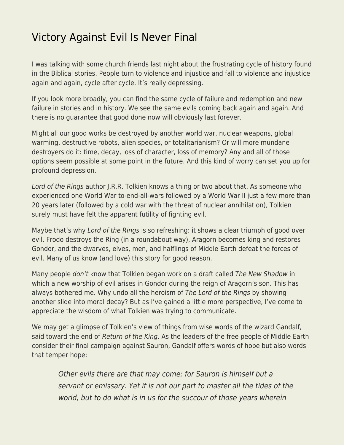## [Victory Against Evil Is Never Final](https://everything-voluntary.com/victory-against-evil-is-never-final)

I was talking with some church friends last night about the frustrating cycle of history found in the Biblical stories. People turn to violence and injustice and fall to violence and injustice again and again, cycle after cycle. It's really depressing.

If you look more broadly, you can find the same cycle of failure and redemption and new failure in stories and in history. We see the same evils coming back again and again. And there is no guarantee that good done now will obviously last forever.

Might all our good works be destroyed by another world war, nuclear weapons, global warming, destructive robots, alien species, or totalitarianism? Or will more mundane destroyers do it: time, decay, loss of character, loss of memory? Any and all of those options seem possible at some point in the future. And this kind of worry can set you up for profound depression.

Lord of the Rings author J.R.R. Tolkien knows a thing or two about that. As someone who experienced one World War to-end-all-wars followed by a World War II just a few more than 20 years later (followed by a cold war with the threat of nuclear annihilation), Tolkien surely must have felt the apparent futility of fighting evil.

Maybe that's why Lord of the Rings is so refreshing: it shows a clear triumph of good over evil. Frodo destroys the Ring (in a roundabout way), Aragorn becomes king and restores Gondor, and the dwarves, elves, men, and halflings of Middle Earth defeat the forces of evil. Many of us know (and love) this story for good reason.

Many people don't know that Tolkien began work on a draft called The New Shadow in which a new worship of evil arises in Gondor during the reign of Aragorn's son. This has always bothered me. Why undo all the heroism of The Lord of the Rings by showing another slide into moral decay? But as I've gained a little more perspective, I've come to appreciate the wisdom of what Tolkien was trying to communicate.

We may get a glimpse of Tolkien's view of things from wise words of the wizard Gandalf, said toward the end of Return of the King. As the leaders of the free people of Middle Earth consider their final campaign against Sauron, Gandalf offers words of hope but also words that temper hope:

Other evils there are that may come; for Sauron is himself but a servant or emissary. Yet it is not our part to master all the tides of the world, but to do what is in us for the succour of those years wherein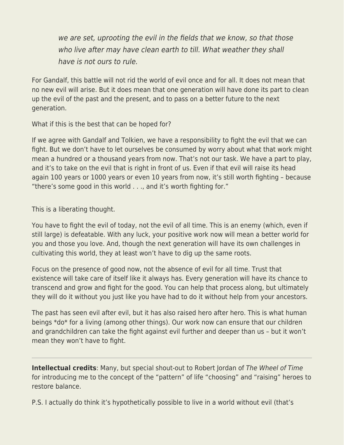we are set, uprooting the evil in the fields that we know, so that those who live after may have clean earth to till. What weather they shall have is not ours to rule.

For Gandalf, this battle will not rid the world of evil once and for all. It does not mean that no new evil will arise. But it does mean that one generation will have done its part to clean up the evil of the past and the present, and to pass on a better future to the next generation.

What if this is the best that can be hoped for?

If we agree with Gandalf and Tolkien, we have a responsibility to fight the evil that we can fight. But we don't have to let ourselves be consumed by worry about what that work might mean a hundred or a thousand years from now. That's not our task. We have a part to play, and it's to take on the evil that is right in front of us. Even if that evil will raise its head again 100 years or 1000 years or even 10 years from now, it's still worth fighting – because "there's some good in this world . . ., and it's worth fighting for."

This is a liberating thought.

You have to fight the evil of today, not the evil of all time. This is an enemy (which, even if still large) is defeatable. With any luck, your positive work now will mean a better world for you and those you love. And, though the next generation will have its own challenges in cultivating this world, they at least won't have to dig up the same roots.

Focus on the presence of good now, not the absence of evil for all time. Trust that existence will take care of itself like it always has. Every generation will have its chance to transcend and grow and fight for the good. You can help that process along, but ultimately they will do it without you just like you have had to do it without help from your ancestors.

The past has seen evil after evil, but it has also raised hero after hero. This is what human beings \*do\* for a living (among other things). Our work now can ensure that our children and grandchildren can take the fight against evil further and deeper than us – but it won't mean they won't have to fight.

**Intellectual credits**: Many, but special shout-out to Robert Jordan of The Wheel of Time for introducing me to the concept of the "pattern" of life "choosing" and "raising" heroes to restore balance.

P.S. I actually do think it's hypothetically possible to live in a world without evil (that's